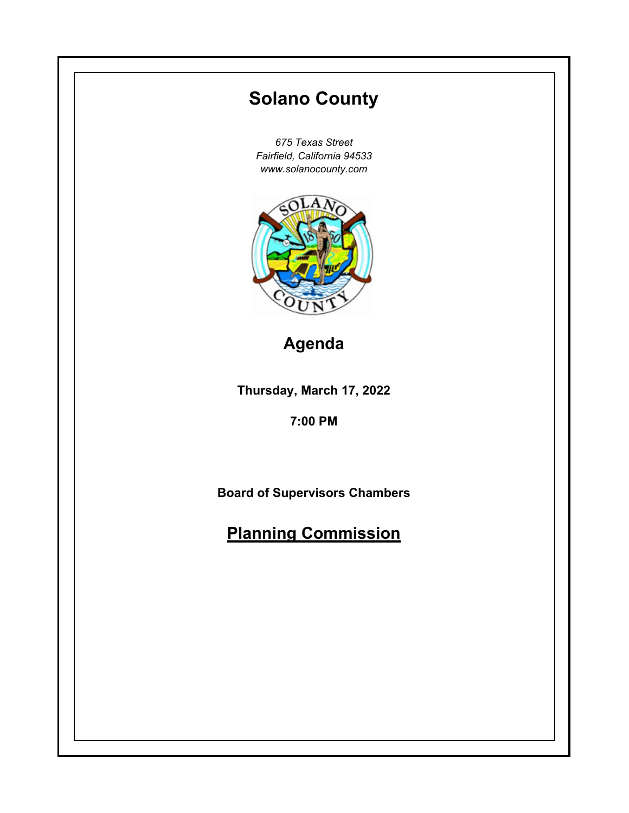# **Thursday, March 17, 2022 7:00 PM Solano County** *675 Texas Street Fairfield, California 94533 www.solanocounty.com* **Board of Supervisors Chambers Planning Commission Agenda**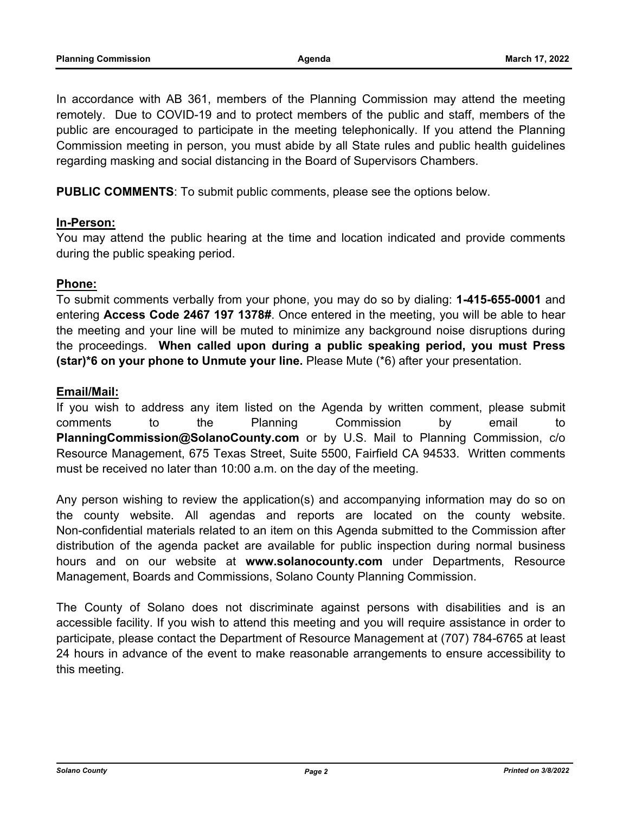In accordance with AB 361, members of the Planning Commission may attend the meeting remotely. Due to COVID-19 and to protect members of the public and staff, members of the public are encouraged to participate in the meeting telephonically. If you attend the Planning Commission meeting in person, you must abide by all State rules and public health guidelines regarding masking and social distancing in the Board of Supervisors Chambers.

**PUBLIC COMMENTS**: To submit public comments, please see the options below.

# **In-Person:**

You may attend the public hearing at the time and location indicated and provide comments during the public speaking period.

# **Phone:**

To submit comments verbally from your phone, you may do so by dialing: **1-415-655-0001** and entering **Access Code 2467 197 1378#**. Once entered in the meeting, you will be able to hear the meeting and your line will be muted to minimize any background noise disruptions during the proceedings. **When called upon during a public speaking period, you must Press (star)\*6 on your phone to Unmute your line.** Please Mute (\*6) after your presentation.

## **Email/Mail:**

If you wish to address any item listed on the Agenda by written comment, please submit comments to the Planning Commission by email to **PlanningCommission@SolanoCounty.com** or by U.S. Mail to Planning Commission, c/o Resource Management, 675 Texas Street, Suite 5500, Fairfield CA 94533. Written comments must be received no later than 10:00 a.m. on the day of the meeting.

Any person wishing to review the application(s) and accompanying information may do so on the county website. All agendas and reports are located on the county website. Non-confidential materials related to an item on this Agenda submitted to the Commission after distribution of the agenda packet are available for public inspection during normal business hours and on our website at **www.solanocounty.com** under Departments, Resource Management, Boards and Commissions, Solano County Planning Commission.

The County of Solano does not discriminate against persons with disabilities and is an accessible facility. If you wish to attend this meeting and you will require assistance in order to participate, please contact the Department of Resource Management at (707) 784-6765 at least 24 hours in advance of the event to make reasonable arrangements to ensure accessibility to this meeting.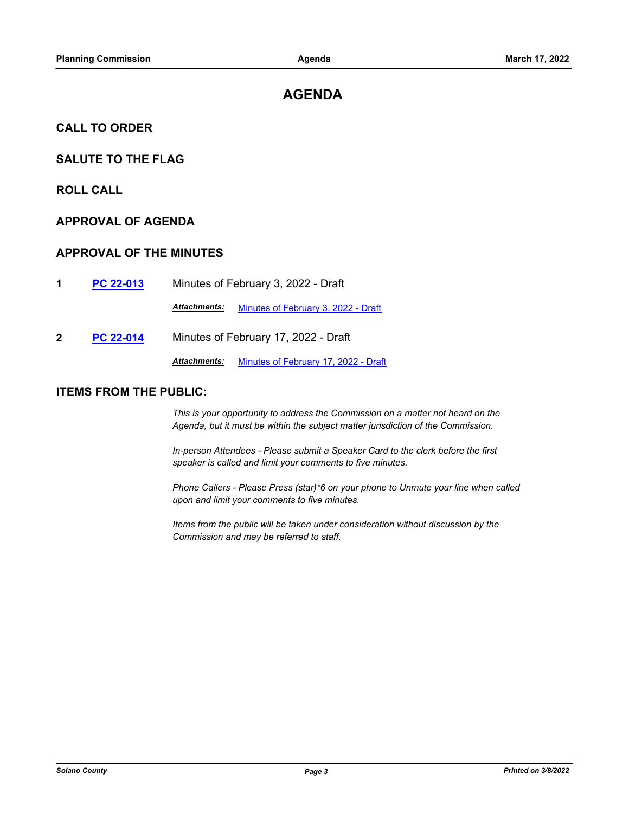# **AGENDA**

## **CALL TO ORDER**

# **SALUTE TO THE FLAG**

**ROLL CALL**

# **APPROVAL OF AGENDA**

### **APPROVAL OF THE MINUTES**

**1 [PC 22-013](http://solano.legistar.com/gateway.aspx?m=l&id=/matter.aspx?key=16790)** Minutes of February 3, 2022 - Draft

*Attachments:* [Minutes of February 3, 2022 - Draft](http://solano.legistar.com/gateway.aspx?M=F&ID=6ad392b2-fa91-4ad0-9a35-fdfd7e38707b.pdf)

**2 [PC 22-014](http://solano.legistar.com/gateway.aspx?m=l&id=/matter.aspx?key=16791)** Minutes of February 17, 2022 - Draft

*Attachments:* [Minutes of February 17, 2022 - Draft](http://solano.legistar.com/gateway.aspx?M=F&ID=5cff000a-9c92-429e-9def-2d8a1e36ccaa.pdf)

### **ITEMS FROM THE PUBLIC:**

*This is your opportunity to address the Commission on a matter not heard on the Agenda, but it must be within the subject matter jurisdiction of the Commission.* 

*In-person Attendees - Please submit a Speaker Card to the clerk before the first speaker is called and limit your comments to five minutes.* 

*Phone Callers - Please Press (star)\*6 on your phone to Unmute your line when called upon and limit your comments to five minutes.* 

*Items from the public will be taken under consideration without discussion by the Commission and may be referred to staff.*